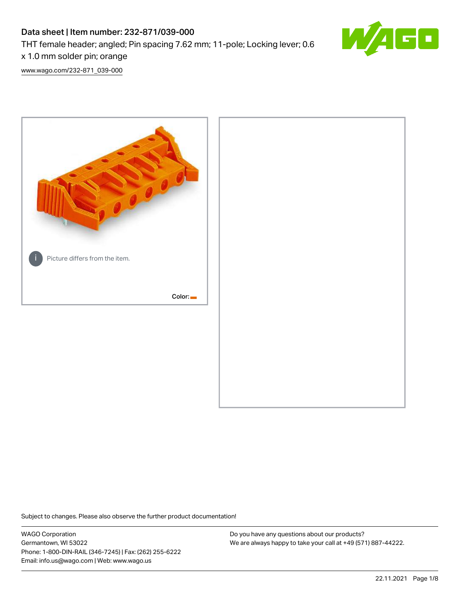# Data sheet | Item number: 232-871/039-000 THT female header; angled; Pin spacing 7.62 mm; 11-pole; Locking lever; 0.6 x 1.0 mm solder pin; orange



[www.wago.com/232-871\\_039-000](http://www.wago.com/232-871_039-000)



Subject to changes. Please also observe the further product documentation!

WAGO Corporation Germantown, WI 53022 Phone: 1-800-DIN-RAIL (346-7245) | Fax: (262) 255-6222 Email: info.us@wago.com | Web: www.wago.us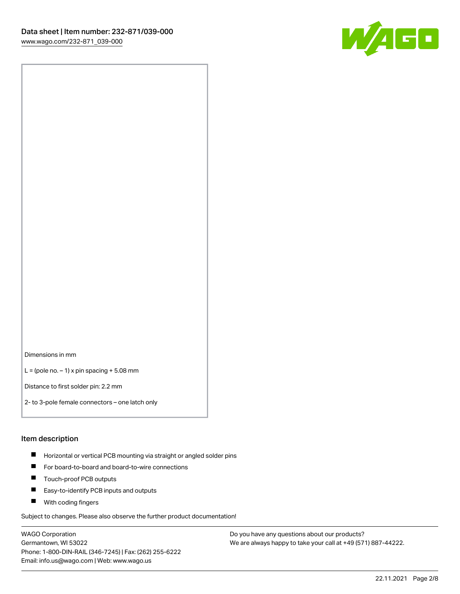

Dimensions in mm

 $L =$  (pole no.  $-1$ ) x pin spacing  $+5.08$  mm

Distance to first solder pin: 2.2 mm

2- to 3-pole female connectors – one latch only

#### Item description

- **Horizontal or vertical PCB mounting via straight or angled solder pins**
- For board-to-board and board-to-wire connections
- $\blacksquare$ Touch-proof PCB outputs
- $\blacksquare$ Easy-to-identify PCB inputs and outputs
- **Now With coding fingers**

Subject to changes. Please also observe the further product documentation!

WAGO Corporation Germantown, WI 53022 Phone: 1-800-DIN-RAIL (346-7245) | Fax: (262) 255-6222 Email: info.us@wago.com | Web: www.wago.us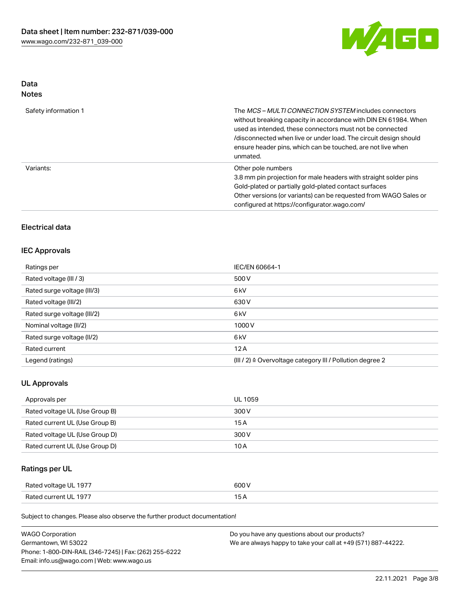

# Data

| Safety information 1 | The <i>MCS – MULTI CONNECTION SYSTEM</i> includes connectors<br>without breaking capacity in accordance with DIN EN 61984. When<br>used as intended, these connectors must not be connected<br>/disconnected when live or under load. The circuit design should<br>ensure header pins, which can be touched, are not live when<br>unmated. |
|----------------------|--------------------------------------------------------------------------------------------------------------------------------------------------------------------------------------------------------------------------------------------------------------------------------------------------------------------------------------------|
| Variants:            | Other pole numbers<br>3.8 mm pin projection for male headers with straight solder pins<br>Gold-plated or partially gold-plated contact surfaces<br>Other versions (or variants) can be requested from WAGO Sales or<br>configured at https://configurator.wago.com/                                                                        |

# Electrical data

## IEC Approvals

| Ratings per                 | IEC/EN 60664-1                                                       |
|-----------------------------|----------------------------------------------------------------------|
| Rated voltage (III / 3)     | 500 V                                                                |
| Rated surge voltage (III/3) | 6 <sub>k</sub> V                                                     |
| Rated voltage (III/2)       | 630 V                                                                |
| Rated surge voltage (III/2) | 6 <sub>k</sub> V                                                     |
| Nominal voltage (II/2)      | 1000V                                                                |
| Rated surge voltage (II/2)  | 6 <sub>k</sub> V                                                     |
| Rated current               | 12A                                                                  |
| Legend (ratings)            | (III / 2) $\triangleq$ Overvoltage category III / Pollution degree 2 |

## UL Approvals

| Approvals per                  | UL 1059 |
|--------------------------------|---------|
| Rated voltage UL (Use Group B) | 300 V   |
| Rated current UL (Use Group B) | 15 A    |
| Rated voltage UL (Use Group D) | 300 V   |
| Rated current UL (Use Group D) | 10 A    |

# Ratings per UL

| Rated voltage UL 1977 | 600 V |
|-----------------------|-------|
| Rated current UL 1977 |       |

Subject to changes. Please also observe the further product documentation!

| <b>WAGO Corporation</b>                                | Do you have any questions about our products?                 |
|--------------------------------------------------------|---------------------------------------------------------------|
| Germantown, WI 53022                                   | We are always happy to take your call at +49 (571) 887-44222. |
| Phone: 1-800-DIN-RAIL (346-7245)   Fax: (262) 255-6222 |                                                               |
| Email: info.us@wago.com   Web: www.wago.us             |                                                               |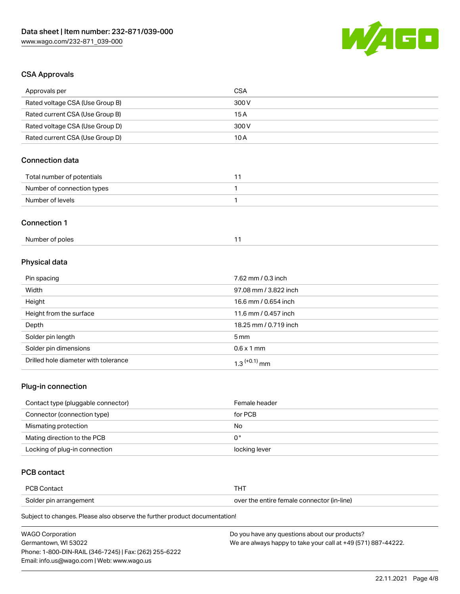

# CSA Approvals

| Approvals per                   | <b>CSA</b>            |
|---------------------------------|-----------------------|
| Rated voltage CSA (Use Group B) | 300 V                 |
| Rated current CSA (Use Group B) | 15A                   |
| Rated voltage CSA (Use Group D) | 300V                  |
| Rated current CSA (Use Group D) | 10A                   |
| <b>Connection data</b>          |                       |
| Total number of potentials      | 11                    |
| Number of connection types      | 1                     |
| Number of levels                | 1                     |
| <b>Connection 1</b>             |                       |
| Number of poles                 | 11                    |
| Physical data                   |                       |
| Pin spacing                     | 7.62 mm / 0.3 inch    |
| Width                           | 97.08 mm / 3.822 inch |
| Height                          | 16.6 mm / 0.654 inch  |
| Height from the surface         | 11.6 mm / 0.457 inch  |
| Depth                           | 18.25 mm / 0.719 inch |

| Solder pin length                    | 5 <sub>mm</sub>            |
|--------------------------------------|----------------------------|
| Solder pin dimensions                | $0.6 \times 1$ mm          |
| Drilled hole diameter with tolerance | $1.3$ <sup>(+0.1)</sup> mm |

## Plug-in connection

| Contact type (pluggable connector) | Female header |
|------------------------------------|---------------|
| Connector (connection type)        | for PCB       |
| Mismating protection               | No            |
| Mating direction to the PCB        | 0°            |
| Locking of plug-in connection      | locking lever |

# PCB contact

| ם חם                   | л                                          |
|------------------------|--------------------------------------------|
| ∶∩nta∩'                |                                            |
| Solder pin arrangement | over the entire female connector (in-line) |

Subject to changes. Please also observe the further product documentation!

| <b>WAGO Corporation</b>                                | Do you have any questions about our products?                 |
|--------------------------------------------------------|---------------------------------------------------------------|
| Germantown, WI 53022                                   | We are always happy to take your call at +49 (571) 887-44222. |
| Phone: 1-800-DIN-RAIL (346-7245)   Fax: (262) 255-6222 |                                                               |
| Email: info.us@wago.com   Web: www.wago.us             |                                                               |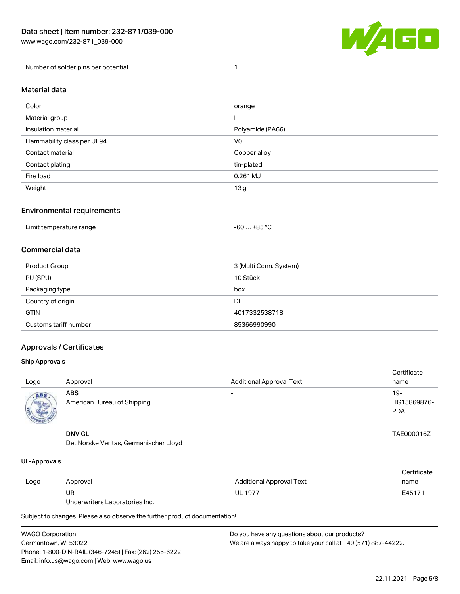

Number of solder pins per potential 1

#### Material data

| Color                       | orange           |
|-----------------------------|------------------|
| Material group              |                  |
| Insulation material         | Polyamide (PA66) |
| Flammability class per UL94 | V <sub>0</sub>   |
| Contact material            | Copper alloy     |
| Contact plating             | tin-plated       |
| Fire load                   | 0.261 MJ         |
| Weight                      | 13g              |

### Environmental requirements

| Limit temperature range<br>. | . +85 °C<br>-60 |  |
|------------------------------|-----------------|--|
|------------------------------|-----------------|--|

# Commercial data

| Product Group         | 3 (Multi Conn. System) |
|-----------------------|------------------------|
| PU (SPU)              | 10 Stück               |
| Packaging type        | box                    |
| Country of origin     | DE                     |
| <b>GTIN</b>           | 4017332538718          |
| Customs tariff number | 85366990990            |

## Approvals / Certificates

#### Ship Approvals

| Logo | Approval                                                | <b>Additional Approval Text</b> | Certificate<br>name                |
|------|---------------------------------------------------------|---------------------------------|------------------------------------|
| ABS  | <b>ABS</b><br>American Bureau of Shipping               | -                               | $19-$<br>HG15869876-<br><b>PDA</b> |
|      | <b>DNV GL</b><br>Det Norske Veritas, Germanischer Lloyd | $\overline{\phantom{0}}$        | TAE000016Z                         |

#### UL-Approvals

| Logo | Approval                       | Additional Approval Text | Certificate<br>name |
|------|--------------------------------|--------------------------|---------------------|
|      | UR                             | <b>UL 1977</b>           | E45171              |
|      | Underwriters Laboratories Inc. |                          |                     |

Subject to changes. Please also observe the further product documentation!

| <b>WAGO Corporation</b>                                | Do you have any questions about our products?                 |
|--------------------------------------------------------|---------------------------------------------------------------|
| Germantown, WI 53022                                   | We are always happy to take your call at +49 (571) 887-44222. |
| Phone: 1-800-DIN-RAIL (346-7245)   Fax: (262) 255-6222 |                                                               |
| Email: info.us@wago.com   Web: www.wago.us             |                                                               |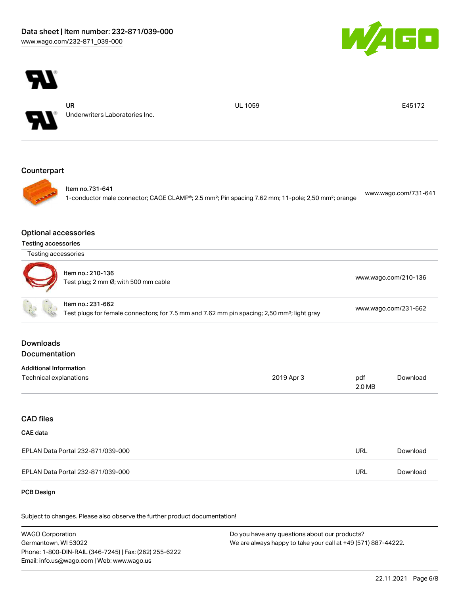



Underwriters Laboratories Inc.

UL 1059 E45172

#### **Counterpart**



Item no.731-641 1-conductor male connector; CAGE CLAMP®; 2.5 mm²; Pin spacing 7.62 mm; 11-pole; 2,50 mm²; orange [www.wago.com/731-641](https://www.wago.com/731-641)

#### Optional accessories

| <b>Testing accessories</b> |  |
|----------------------------|--|
|                            |  |

| Item no.: 210-136<br>I)<br>Test plug; 2 mm $\varnothing$ ; with 500 mm cable | www.wago.com/210-136 |
|------------------------------------------------------------------------------|----------------------|
|------------------------------------------------------------------------------|----------------------|

|  | Item no.: 231-662                                                                                       |                      |
|--|---------------------------------------------------------------------------------------------------------|----------------------|
|  | Test plugs for female connectors; for 7.5 mm and 7.62 mm pin spacing; 2,50 mm <sup>2</sup> ; light gray | www.wago.com/231-662 |

## Downloads Documentation

| <b>Additional Information</b> |            |        |          |
|-------------------------------|------------|--------|----------|
| Technical explanations        | 2019 Apr 3 | pdf    | Download |
|                               |            | 2.0 MB |          |

### CAD files

## CAE data

| EPLAN Data Portal 232-871/039-000 | URL | Download |
|-----------------------------------|-----|----------|
| EPLAN Data Portal 232-871/039-000 | URL | Download |

#### PCB Design

Subject to changes. Please also observe the further product documentation!

WAGO Corporation Germantown, WI 53022 Phone: 1-800-DIN-RAIL (346-7245) | Fax: (262) 255-6222 Email: info.us@wago.com | Web: www.wago.us Do you have any questions about our products?

We are always happy to take your call at +49 (571) 887-44222.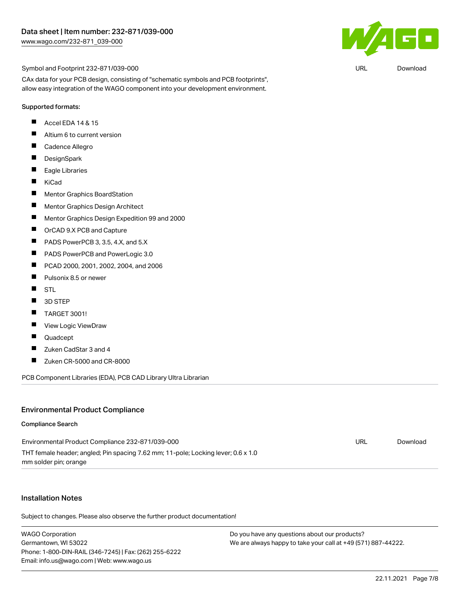

URL [Download](https://www.wago.com/global/d/UltraLibrarian_URLS_232-871_039-000)

Symbol and Footprint 232-871/039-000

CAx data for your PCB design, consisting of "schematic symbols and PCB footprints", allow easy integration of the WAGO component into your development environment.

#### Supported formats:

- П Accel EDA 14 & 15
- $\blacksquare$ Altium 6 to current version
- $\blacksquare$ Cadence Allegro
- $\blacksquare$ **DesignSpark**
- $\blacksquare$ Eagle Libraries
- $\blacksquare$ KiCad
- $\blacksquare$ Mentor Graphics BoardStation
- $\blacksquare$ Mentor Graphics Design Architect
- $\blacksquare$ Mentor Graphics Design Expedition 99 and 2000
- $\blacksquare$ OrCAD 9.X PCB and Capture
- П PADS PowerPCB 3, 3.5, 4.X, and 5.X
- $\blacksquare$ PADS PowerPCB and PowerLogic 3.0
- $\blacksquare$ PCAD 2000, 2001, 2002, 2004, and 2006
- $\blacksquare$ Pulsonix 8.5 or newer
- $\blacksquare$ STL
- $\blacksquare$ 3D STEP
- $\blacksquare$ TARGET 3001!
- $\blacksquare$ View Logic ViewDraw
- П Quadcept
- $\blacksquare$ Zuken CadStar 3 and 4
- $\blacksquare$ Zuken CR-5000 and CR-8000

PCB Component Libraries (EDA), PCB CAD Library Ultra Librarian

#### Environmental Product Compliance

#### Compliance Search

| Environmental Product Compliance 232-871/039-000                                  | URL | Download |
|-----------------------------------------------------------------------------------|-----|----------|
| THT female header; angled; Pin spacing 7.62 mm; 11-pole; Locking lever; 0.6 x 1.0 |     |          |
| mm solder pin; orange                                                             |     |          |

#### Installation Notes

Subject to changes. Please also observe the further product documentation!

WAGO Corporation Germantown, WI 53022 Phone: 1-800-DIN-RAIL (346-7245) | Fax: (262) 255-6222 Email: info.us@wago.com | Web: www.wago.us